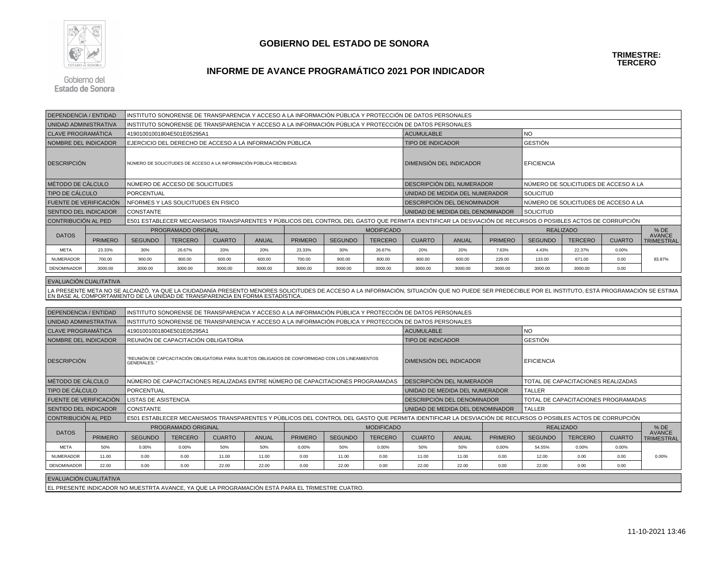

## **GOBIERNO DEL ESTADO DE SONORA**

**TRIMESTRE:TERCERO**

## **INFORME DE AVANCE PROGRAMÁTICO 2021 POR INDICADOR**

Gobierno del Estado de Sonora

| <b>DEPENDENCIA / ENTIDAD</b>                      |                | INSTITUTO SONORENSE DE TRANSPARENCIA Y ACCESO A LA INFORMACIÓN PÚBLICA Y PROTECCIÓN DE DATOS PERSONALES                                                    |                |               |              |                |                |                |                                                                                                                                                                                                   |                                                   |                |                                      |                                      |               |                                    |  |  |
|---------------------------------------------------|----------------|------------------------------------------------------------------------------------------------------------------------------------------------------------|----------------|---------------|--------------|----------------|----------------|----------------|---------------------------------------------------------------------------------------------------------------------------------------------------------------------------------------------------|---------------------------------------------------|----------------|--------------------------------------|--------------------------------------|---------------|------------------------------------|--|--|
| UNIDAD ADMINISTRATIVA                             |                | INSTITUTO SONORENSE DE TRANSPARENCIA Y ACCESO A LA INFORMACIÓN PÚBLICA Y PROTECCIÓN DE DATOS PERSONALES                                                    |                |               |              |                |                |                |                                                                                                                                                                                                   |                                                   |                |                                      |                                      |               |                                    |  |  |
| <b>CLAVE PROGRAMÁTICA</b>                         |                | 41901001001804E501E05295A1                                                                                                                                 |                |               |              |                |                |                |                                                                                                                                                                                                   | <b>ACUMULABLE</b>                                 |                | <b>NO</b>                            |                                      |               |                                    |  |  |
| NOMBRE DEL INDICADOR                              |                | EJERCICIO DEL DERECHO DE ACCESO A LA INFORMACIÓN PÚBLICA                                                                                                   |                |               |              |                |                |                |                                                                                                                                                                                                   | <b>TIPO DE INDICADOR</b>                          |                |                                      | <b>GESTIÓN</b>                       |               |                                    |  |  |
| <b>DESCRIPCIÓN</b>                                |                | NÚMERO DE SOLICITUDES DE ACCESO A LA INFORMACIÓN PÚBLICA RECIBIDAS                                                                                         |                |               |              |                |                |                |                                                                                                                                                                                                   | <b>DIMENSIÓN DEL INDICADOR</b>                    |                |                                      | <b>EFICIENCIA</b>                    |               |                                    |  |  |
| MÉTODO DE CÁLCULO                                 |                | NÚMERO DE ACCESO DE SOLICITUDES                                                                                                                            |                |               |              |                |                |                |                                                                                                                                                                                                   | DESCRIPCIÓN DEL NUMERADOR                         |                | NÚMERO DE SOLICITUDES DE ACCESO A LA |                                      |               |                                    |  |  |
| TIPO DE CÁLCULO                                   |                | PORCENTUAL                                                                                                                                                 |                |               |              |                |                |                |                                                                                                                                                                                                   | UNIDAD DE MEDIDA DEL NUMERADOR                    |                |                                      | <b>SOLICITUD</b>                     |               |                                    |  |  |
| FUENTE DE VERIFICACIÓN                            |                | NFORMES Y LAS SOLICITUDES EN FISICO                                                                                                                        |                |               |              |                |                |                |                                                                                                                                                                                                   | DESCRIPCIÓN DEL DENOMINADOR                       |                |                                      | NÚMERO DE SOLICITUDES DE ACCESO A LA |               |                                    |  |  |
| SENTIDO DEL INDICADOR                             |                | <b>CONSTANTE</b>                                                                                                                                           |                |               |              |                |                |                |                                                                                                                                                                                                   | UNIDAD DE MEDIDA DEL DENOMINADOR                  |                |                                      | <b>SOLICITUD</b>                     |               |                                    |  |  |
| CONTRIBUCIÓN AL PED                               |                | E501 ESTABLECER MECANISMOS TRANSPARENTES Y PÚBLICOS DEL CONTROL DEL GASTO QUE PERMITA IDENTIFICAR LA DESVIACIÓN DE RECURSOS O POSIBLES ACTOS DE CORRUPCIÓN |                |               |              |                |                |                |                                                                                                                                                                                                   |                                                   |                |                                      |                                      |               |                                    |  |  |
|                                                   |                | PROGRAMADO ORIGINAL<br><b>MODIFICADO</b>                                                                                                                   |                |               |              |                |                |                |                                                                                                                                                                                                   |                                                   |                | <b>REALIZADO</b>                     | % DE<br>AVANCE                       |               |                                    |  |  |
| <b>DATOS</b>                                      | <b>PRIMERO</b> | <b>SEGUNDO</b>                                                                                                                                             | <b>TERCERO</b> | <b>CUARTO</b> | <b>ANUAL</b> | <b>PRIMERO</b> | <b>SEGUNDO</b> | <b>TERCERO</b> | <b>CUARTO</b>                                                                                                                                                                                     | <b>ANUAL</b>                                      | <b>PRIMERO</b> | <b>SEGUNDO</b>                       | <b>TERCERO</b>                       | <b>CUARTO</b> | <b>TRIMESTRAL</b>                  |  |  |
| <b>META</b>                                       | 23.33%         | 30%                                                                                                                                                        | 26.67%         | 20%           | 20%          | 23.33%         | 30%            | 26.67%         | 20%                                                                                                                                                                                               | 20%                                               | 7.63%          | 4.43%                                | 22.37%                               | 0.00%         | 83.87%                             |  |  |
| <b>NUMERADOR</b>                                  | 700.00         | 900.00                                                                                                                                                     | 800.00         | 600.00        | 600.00       | 700.00         | 900.00         | 800.00         | 600.00                                                                                                                                                                                            | 600.00                                            | 229.00         | 133.00                               | 671.00                               | 0.00          |                                    |  |  |
| DENOMINADOR                                       | 3000.00        | 3000.00                                                                                                                                                    | 3000.00        | 3000.00       | 3000.00      | 3000.00        | 3000.00        | 3000.00        | 3000.00                                                                                                                                                                                           | 3000.00                                           | 3000.00        | 3000.00                              | 3000.00                              | 0.00          |                                    |  |  |
| EVALUACIÓN CUALITATIVA                            |                |                                                                                                                                                            |                |               |              |                |                |                |                                                                                                                                                                                                   |                                                   |                |                                      |                                      |               |                                    |  |  |
|                                                   |                | EN BASE AL COMPORTAMIENTO DE LA UNIDAD DE TRANSPARENCIA EN FORMA ESTADÍSTICA                                                                               |                |               |              |                |                |                | LA PRESENTE META NO SE ALCANZÓ, YA QUE LA CIUDADANÍA PRESENTO MENORES SOLICITUDES DE ACCESO A LA INFORMACIÓN, SITUACIÓN QUE NO PUEDE SER PREDECIBLE POR EL INSTITUTO, ESTÁ PROGRAMACIÓN SE ESTIMA |                                                   |                |                                      |                                      |               |                                    |  |  |
|                                                   |                |                                                                                                                                                            |                |               |              |                |                |                |                                                                                                                                                                                                   |                                                   |                |                                      |                                      |               |                                    |  |  |
| DEPENDENCIA / ENTIDAD<br>UNIDAD ADMINISTRATIVA    |                |                                                                                                                                                            |                |               |              |                |                |                | INSTITUTO SONORENSE DE TRANSPARENCIA Y ACCESO A LA INFORMACIÓN PÚBLICA Y PROTECCIÓN DE DATOS PERSONALES                                                                                           |                                                   |                |                                      |                                      |               |                                    |  |  |
|                                                   |                | INSTITUTO SONORENSE DE TRANSPARENCIA Y ACCESO A LA INFORMACIÓN PÚBLICA Y PROTECCIÓN DE DATOS PERSONALES<br>41901001001804E501E05295A1                      |                |               |              |                |                |                |                                                                                                                                                                                                   | <b>ACUMULABLE</b><br><b>NO</b>                    |                |                                      |                                      |               |                                    |  |  |
| <b>CLAVE PROGRAMÁTICA</b><br>NOMBRE DEL INDICADOR |                | REUNIÓN DE CAPACITACIÓN OBLIGATORIA                                                                                                                        |                |               |              |                |                |                | <b>TIPO DE INDICADOR</b>                                                                                                                                                                          |                                                   |                | <b>GESTIÓN</b>                       |                                      |               |                                    |  |  |
| <b>DESCRIPCIÓN</b>                                |                | "REUNIÓN DE CAPCACITACIÓN OBLIGATORIA PARA SUJETOS OBLIGADOS DE CONFORMIDAD CON LOS LINEAMIENTOS<br>GENERALES. "                                           |                |               |              |                |                |                | DIMENSIÓN DEL INDICADOR                                                                                                                                                                           |                                                   |                | <b>EFICIENCIA</b>                    |                                      |               |                                    |  |  |
| MÉTODO DE CÁLCULO                                 |                | NÚMERO DE CAPACITACIONES REALIZADAS ENTRE NÚMERO DE CAPACITACIONES PROGRAMADAS                                                                             |                |               |              |                |                |                | DESCRIPCIÓN DEL NUMERADOR                                                                                                                                                                         |                                                   |                | TOTAL DE CAPACITACIONES REALIZADAS   |                                      |               |                                    |  |  |
| TIPO DE CÁLCULO                                   |                | PORCENTUAL                                                                                                                                                 |                |               |              |                |                |                |                                                                                                                                                                                                   | UNIDAD DE MEDIDA DEL NUMERADOR                    |                |                                      | <b>TALLER</b>                        |               |                                    |  |  |
| FUENTE DE VERIFICACIÓN                            |                | LISTAS DE ASISTENCIA                                                                                                                                       |                |               |              |                |                |                | DESCRIPCIÓN DEL DENOMINADOR                                                                                                                                                                       |                                                   |                | TOTAL DE CAPACITACIONES PROGRAMADAS  |                                      |               |                                    |  |  |
| SENTIDO DEL INDICADOR                             |                | <b>CONSTANTE</b>                                                                                                                                           |                |               |              |                |                |                |                                                                                                                                                                                                   | <b>TALLER</b><br>UNIDAD DE MEDIDA DEL DENOMINADOR |                |                                      |                                      |               |                                    |  |  |
| CONTRIBUCIÓN AL PED                               |                | E501 ESTABLECER MECANISMOS TRANSPARENTES Y PÚBLICOS DEL CONTROL DEL GASTO QUE PERMITA IDENTIFICAR LA DESVIACIÓN DE RECURSOS O POSIBLES ACTOS DE CORRUPCIÓN |                |               |              |                |                |                |                                                                                                                                                                                                   | $%$ DE                                            |                |                                      |                                      |               |                                    |  |  |
| <b>DATOS</b>                                      |                | PROGRAMADO ORIGINAL<br><b>MODIFICADO</b>                                                                                                                   |                |               |              |                |                |                |                                                                                                                                                                                                   |                                                   |                |                                      | <b>REALIZADO</b>                     |               |                                    |  |  |
|                                                   | <b>PRIMERO</b> | <b>SEGUNDO</b>                                                                                                                                             | <b>TERCERO</b> | <b>CUARTO</b> | <b>ANUAL</b> | <b>PRIMERO</b> | <b>SEGUNDO</b> | <b>TERCERO</b> | <b>CUARTO</b>                                                                                                                                                                                     | <b>ANUAL</b>                                      | <b>PRIMERO</b> | <b>SEGUNDO</b>                       | <b>TERCERO</b>                       | <b>CUARTO</b> | <b>AVANCE</b><br><b>TRIMESTRAL</b> |  |  |
| <b>META</b>                                       | 50%            | 0.00%                                                                                                                                                      | 0.00%          | 50%           | 50%          | 0.00%          | 50%            | 0.00%          | 50%                                                                                                                                                                                               | 50%                                               | 0.00%          | 54.55%                               | 0.00%                                | 0.00%         |                                    |  |  |
| <b>NUMERADOR</b>                                  | 11.00          | 0.00                                                                                                                                                       | 0.00           | 11.00         | 11.00        | 0.00           | 11.00          | 0.00           | 11.00                                                                                                                                                                                             | 11.00                                             | 0.00           | 12.00                                | 0.00                                 | 0.00          | 0.00%                              |  |  |
| DENOMINADOR                                       | 22.00          | 0.00                                                                                                                                                       | 0.00           | 22.00         | 22.00        | 0.00           | 22.00          | 0.00           | 22.00                                                                                                                                                                                             | 22.00                                             | 0.00           | 22.00                                | 0.00                                 | 0.00          |                                    |  |  |
| EVALUACIÓN CUALITATIVA                            |                |                                                                                                                                                            |                |               |              |                |                |                |                                                                                                                                                                                                   |                                                   |                |                                      |                                      |               |                                    |  |  |
|                                                   |                | EL PRESENTE INDICADOR NO MUESTRTA AVANCE, YA QUE LA PROGRAMACIÓN ESTÁ PARA EL TRIMESTRE CUATRO.                                                            |                |               |              |                |                |                |                                                                                                                                                                                                   |                                                   |                |                                      |                                      |               |                                    |  |  |